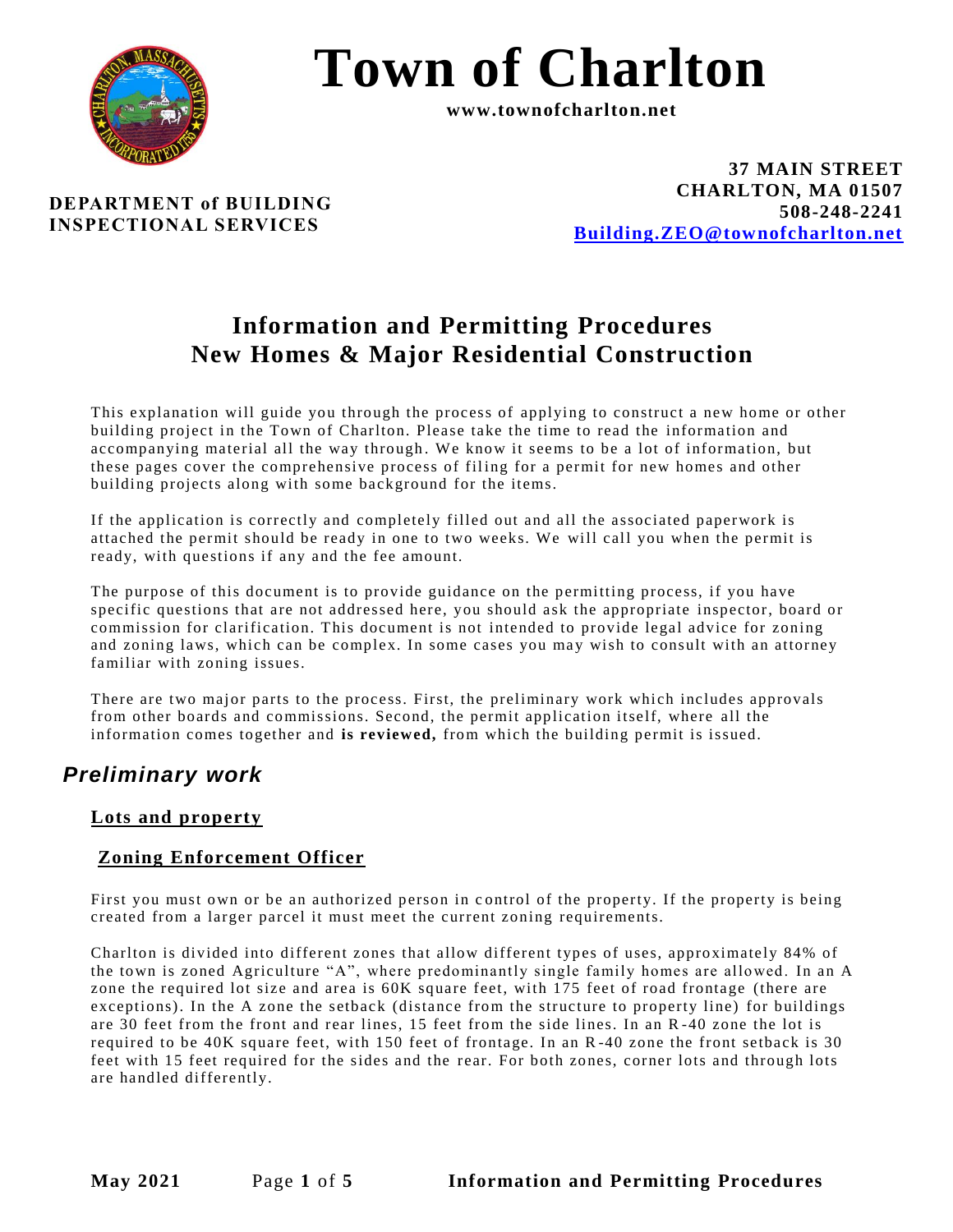

# **Town of Charlton**

**www.townofcharlton.net**

**DEPARTMENT of BUILDING INSPECTIONAL SERVICES**

**37 MAIN STREET CHARLTON, MA 01507 508-248-2241 [Building.ZEO@townofcharlton.net](mailto:Building.ZEO@townofcharlton.net)**

## **Information and Permitting Procedures New Homes & Major Residential Construction**

This explanation will guide you through the process of applying to construct a new home or other building project in the Town of Charlton. Please take the time to read the information and accompanying material all the way through. We know it seems to be a lot of information, but these pages cover the comprehensive process of filing for a permit for new homes and other building projects along with some background for the items.

If the application is correctly and completely filled out and all the associated paperwork is attached the permit should be ready in one to two weeks. We will call you when the permit is ready, with questions if any and the fee amount.

The purpose of this document is to provide guidance on the permitting process, if you have specific questions that are not addressed here, you should ask the appropriate inspector, board or commission for clarification. This document is not intended to provide legal advice for zoning and zoning laws, which can be complex. In some cases you may wish to consult with an attorney familiar with zoning issues.

There are two major parts to the process. First, the preliminary work which includes approvals from other boards and commissions. Second, the permit application itself, where all the information comes together and **is reviewed,** from which the building permit is issued.

## *Preliminary work*

#### **Lots and property**

#### **Zoning Enforcement Officer**

First you must own or be an authorized person in control of the property. If the property is being created from a larger parcel it must meet the current zoning requirements.

Charlton is divided into different zones that allow different types of uses, approximately 84% of the to wn is zoned Agriculture "A", where predominantly single family homes are allowed. In an A zone the required lot size and area is 60K square feet, with 175 feet of road frontage (there are exceptions). In the A zone the setback (distance from the structure to property line) for buildings are 30 feet from the front and rear lines, 15 feet from the side lines. In an R-40 zone the lot is required to be 40K square feet, with 150 feet of frontage. In an R -40 zone the front setback is 30 feet with 15 feet required for the sides and the rear. For both zones, corner lots and through lots are handled differently.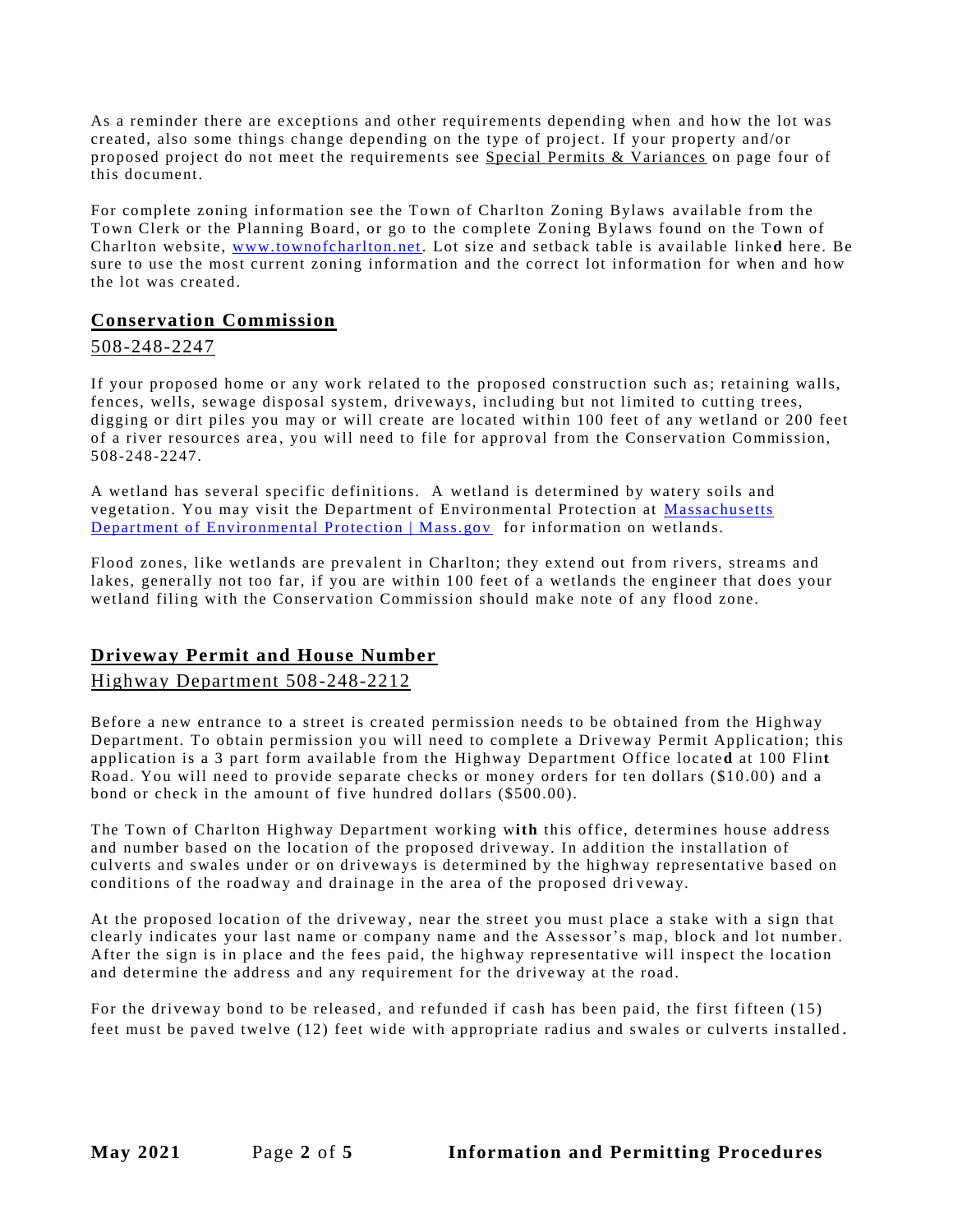As a reminder there are exceptions and other requirements depending when and how the lot was created, also some things change depending on the type of project. If your property and/or proposed project do not meet the requirements see Special Permits & Variances on page four of this document.

For complete zoning information see the Town of Charlton Zoning Bylaws available from the Town Clerk or the Planning Board, or go to the complete Zoning Bylaws found on the Town of Charlton web site, [www.townofcharlton.net.](http://www.townofcharlton.net/) Lot size and setback table is available linke**d** here. Be sure to use the most current zoning information and the correct lot information for when and how the lot was created.

#### **Conservation Commission**

#### 508-248-2247

If your proposed home or any work related to the proposed construction such as; retaining walls, fences, wells, sewage disposal system, driveways, including but not limited to cutting trees, digging or dirt piles you may or will create are located within 100 feet of any wetland or 200 feet of a river resources area , you will need to file for approval from the Conservation Commission, 508-248-2247.

A wetland has several specific definitions. A wetland is determined by watery soils and vegetation. You may visit the Department of Environmental Protection at [Massachusetts](https://www.mass.gov/orgs/massachusetts-department-of-environmental-protection)  [Department of Environmental Protection | Mass.gov](https://www.mass.gov/orgs/massachusetts-department-of-environmental-protection) for information on wetlands.

Flood zones, like wetlands are prevalent in Charlton; they extend out from rivers, streams and lakes, generally not too far, if you are within 100 feet of a wetlands the engineer that does your wetland filing with the Conservation Commission should make note of any flood zone.

#### **Driveway Permit and House Number**

#### Highway Department 508-248-2212

Before a new entrance to a street is created permission needs to be obtained from the Highway Department. To obtain permission you will need to complete a Driveway Permit Application; this application is a 3 part form available from the Highway Department Office locate**d** at 100 Flin**t** Road. You will need to provide separate checks or money orders for ten dollars (\$10.00) and a bond or check in the amount of five hundred dollars (\$500.00).

The Town of Charlton Highway Department working w**ith** this office, determines house address and number based on the location of the proposed driveway. In addition the installation of culverts and swales under or on driveways is determined by the highway representative based on conditions of the roadway and drainage in the area of the proposed driveway.

At the proposed location of the driveway , near the street you must place a stake with a sign that clearly indicates your last name or company name and the Assessor's map, block and lot number. After the sign is in place and the fees paid, the highway representative will inspect the location and determine the address and any requirement for the driveway at the road.

For the driveway bond to be released, and refunded if cash has been paid, the first fifteen (15) feet must be paved twelve (12) feet wide with appropriate radius and swales or culverts installed.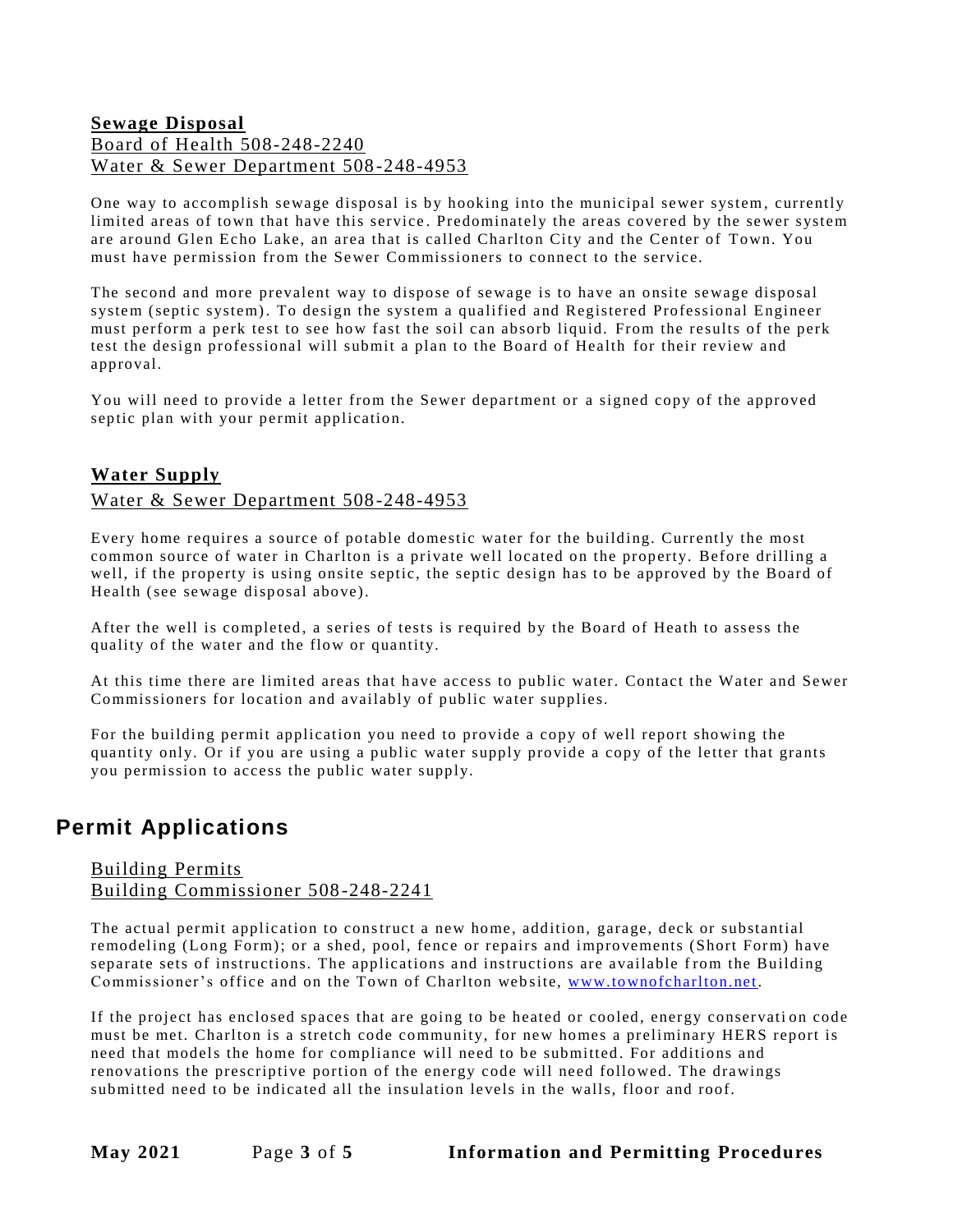#### **Sewage Disposal** Board of Health 508-248-2240 Water & Sewer Department 508-248-4953

One way to accomplish sewage disposal is by hooking into the municipal sewer system, currently limited areas of town that have this service. Predominately the areas covered by the sewer system are around Glen Echo Lake, an area that is called Charlton City and the Center of Town. You must have permission from the Sewer Commissioners to connect to the service.

The second and more prevalent way to dispose of sewage is to have an onsite sewage disposal system (septic system). To design the system a qualified and Registered Professional Engineer must perform a perk test to see how fast the soil can absorb liquid. From the results of the perk test the design professional will submit a plan to the Board of Health for their review and approval.

You will need to provide a letter from the Sewer department or a signed copy of the approved septic plan with your permit application.

#### **Water Supply**

#### Water & Sewer Department 508-248-4953

Every home requires a source of potable domestic water for the building. Currently the most common source of water in Charlton is a private well located on the property. Before drilling a well, if the property is using onsite septic, the septic design has to be approved by the Board of Health (see sewage disposal above).

After the well is completed, a series of tests is required by the Board of Heath to assess the quality of the water and the flow or quantity.

At this time there are limited areas that have access to public water. Contact the Water and Sewer Commissioners for location and availably of public water supplies.

For the building permit application you need to provide a copy of well report showing the quantity only. Or if you are using a public water supply provide a copy of the letter that grants you permission to access the public water supply.

### **Permit Applications**

#### Building Permits Building Commissioner 508-248-2241

The actual permit application to construct a new home, addition, garage, deck or substantial remodeling (Long Form); or a shed, pool, fence or repairs and improvements (Short Form) have separate sets of instructions. The applications and instructions are available from the Building Commissioner's office and on the Town of Charlton web site, [www.to wnofcharlton.net.](http://www.townofcharlton.net/)

If the project has enclosed spaces that are going to be heated or cooled, energy conservati on code must be met. Charlton is a stretch code community, for new homes a preliminary HERS report is need that models the home for compliance will need to be submitted . For additions and renovations the prescriptive portion of the energy code will need follo wed. The drawings submitted need to be indicated all the insulation levels in the walls, floor and roof.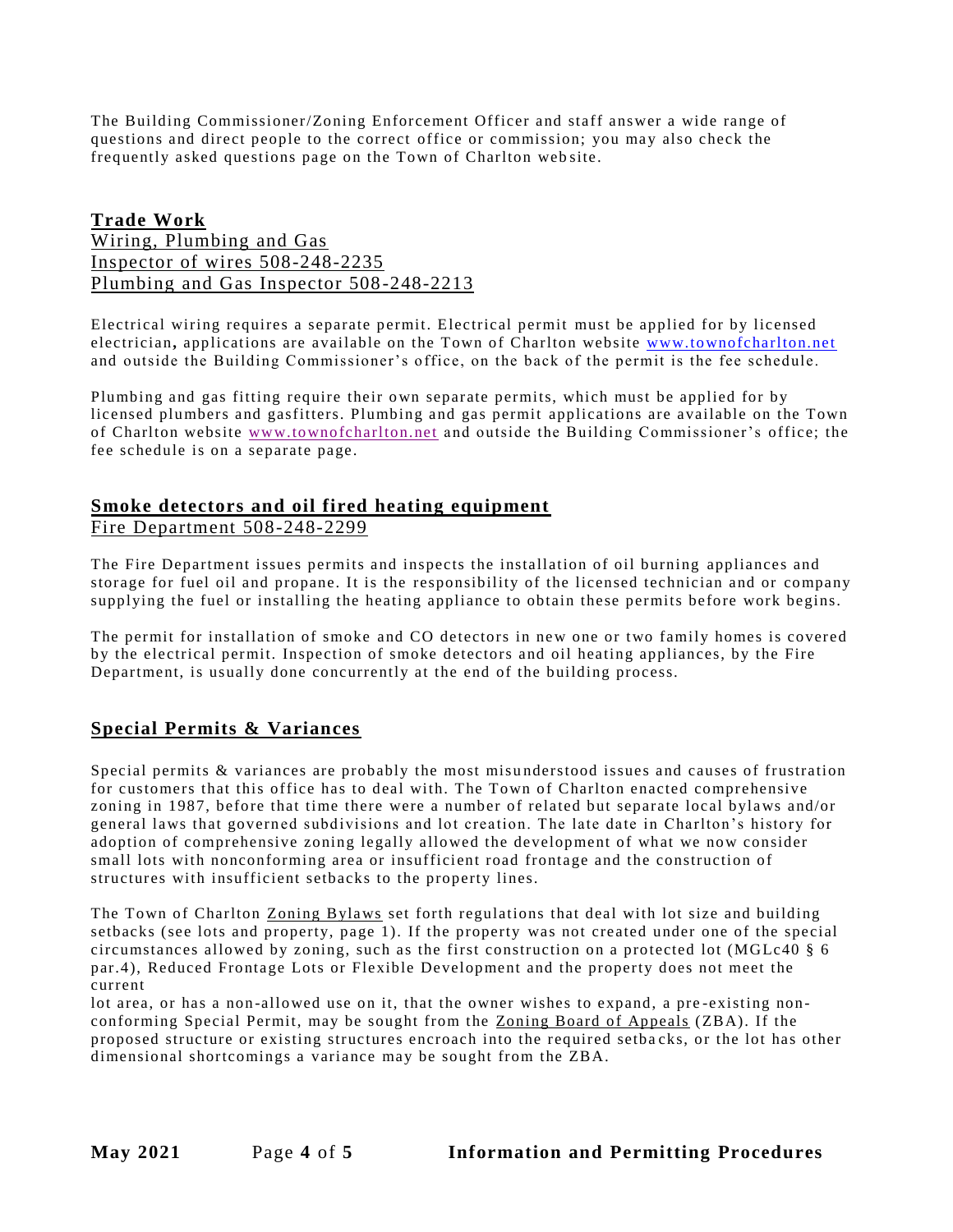The Building Commissioner/Zoning Enforcement Officer and staff answer a wide range of questions and direct people to the correct office or commission; you may also check the frequently asked questions page on the Town of Charlton web site.

#### **Trade Work**

Wiring, Plumbing and Gas Inspector of wires 508-248-2235 Plumbing and Gas Inspector 508-248-2213

Electrical wiring requires a separate permit. Electrical permit must be applied for by licensed electrician**,** applications are available on the Town of Charlton website [www.to wnofcharlton.net](http://www.townofcharlton.net/) and outside the Building Commissioner's office, on the back of the permit is the fee schedule.

Plumbing and gas fitting require their own separate permits, which must be applied for by licensed plumbers and gasfitters. Plumbing and gas permit applications are available on the Town of Charlton website [www.to wnofcharlton.net](http://www.townofcharlton.net/) and outside the Building Commissioner's office; the fee schedule is on a separate page.

#### **Smoke detectors and oil fired heating equipment**

Fire Department 508-248-2299

The Fire Department issues permits and inspects the installation of oil burning appliances and storage for fuel oil and propane. It is the responsibility of the licensed technician and or company supplying the fuel or installing the heating appliance to obtain these permits before work begins.

The permit for installation of smoke and CO detectors in new one or two family homes is covered by the electrical permit. Inspection of smoke detectors and oil heating appliances, by the Fire Department, is usually done concurrently at the end of the building process.

#### **Special Permits & Variances**

Special permits & variances are probably the most misu nderstood issues and causes of frustration for customers that this office has to deal with. The Town of Charlton enacted comprehensive zoning in 1987, before that time there were a number of related but separate local bylaws and/or general laws that governed subdivisions and lot creation. The late date in Charlton's history for adoption of comprehensive zoning legally allowed the development of what we now consider small lots with nonconforming area or insufficient road frontage and the construction of structures with insufficient setbacks to the property lines.

The Town of Charlton Zoning Bylaws set forth regulations that deal with lot size and building setbacks (see lots and property, page 1). If the property was not created under one of the special circumstances allowed by zoning, such as the first construction on a protected lot (MGLc40 § 6 par.4), Reduced Frontage Lots or Flexible Development and the property does not meet the current

lot area, or has a non-allowed use on it, that the owner wishes to expand, a pre-existing nonconforming Special Permit, may be sought from the Zoning Board of Appeals (ZBA). If the proposed structure or existing structures encroach into the required setba cks, or the lot has other dimensional shortcomings a variance may be sought from the ZBA.